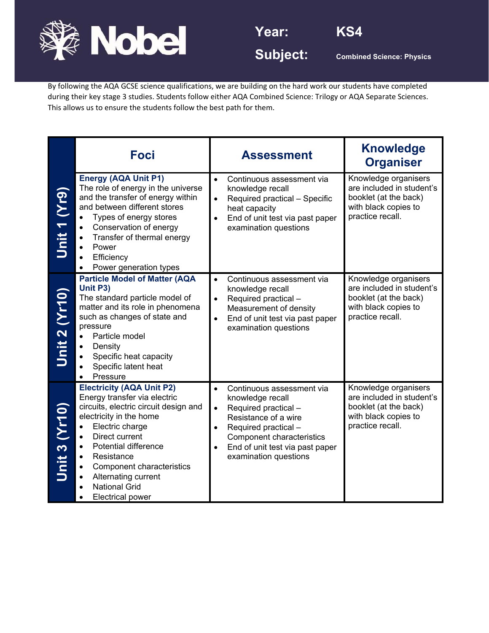

**Year: KS4** 



Subject: **Combined Science: Physics** 

By following the AQA GCSE science qualifications, we are building on the hard work our students have completed during their key stage 3 studies. Students follow either AQA Combined Science: Trilogy or AQA Separate Sciences. This allows us to ensure the students follow the best path for them.

|               | <b>Foci</b>                                                                                                                                                                                                                                                                                                                                                                                           | <b>Assessment</b>                                                                                                                                                                                                                                                  | <b>Knowledge</b><br><b>Organiser</b>                                                                                   |
|---------------|-------------------------------------------------------------------------------------------------------------------------------------------------------------------------------------------------------------------------------------------------------------------------------------------------------------------------------------------------------------------------------------------------------|--------------------------------------------------------------------------------------------------------------------------------------------------------------------------------------------------------------------------------------------------------------------|------------------------------------------------------------------------------------------------------------------------|
| Unit 1 (Yr9)  | <b>Energy (AQA Unit P1)</b><br>The role of energy in the universe<br>and the transfer of energy within<br>and between different stores<br>Types of energy stores<br>$\bullet$<br>Conservation of energy<br>$\bullet$<br>Transfer of thermal energy<br>$\bullet$<br>Power<br>$\bullet$<br>Efficiency<br>Power generation types                                                                         | Continuous assessment via<br>$\bullet$<br>knowledge recall<br>Required practical - Specific<br>$\bullet$<br>heat capacity<br>End of unit test via past paper<br>$\bullet$<br>examination questions                                                                 | Knowledge organisers<br>are included in student's<br>booklet (at the back)<br>with black copies to<br>practice recall. |
| Unit 2 (Yr10) | <b>Particle Model of Matter (AQA</b><br>Unit P3)<br>The standard particle model of<br>matter and its role in phenomena<br>such as changes of state and<br>pressure<br>Particle model<br>$\bullet$<br>Density<br>$\bullet$<br>Specific heat capacity<br>$\bullet$<br>Specific latent heat<br>Pressure                                                                                                  | Continuous assessment via<br>$\bullet$<br>knowledge recall<br>Required practical -<br>$\bullet$<br>Measurement of density<br>End of unit test via past paper<br>$\bullet$<br>examination questions                                                                 | Knowledge organisers<br>are included in student's<br>booklet (at the back)<br>with black copies to<br>practice recall. |
| Unit 3 (Yr10) | <b>Electricity (AQA Unit P2)</b><br>Energy transfer via electric<br>circuits, electric circuit design and<br>electricity in the home<br>Electric charge<br>$\bullet$<br>Direct current<br>$\bullet$<br><b>Potential difference</b><br>$\bullet$<br>Resistance<br>$\bullet$<br><b>Component characteristics</b><br>$\bullet$<br>Alternating current<br><b>National Grid</b><br><b>Electrical power</b> | Continuous assessment via<br>$\bullet$<br>knowledge recall<br>Required practical -<br>$\bullet$<br>Resistance of a wire<br>Required practical -<br>$\bullet$<br>Component characteristics<br>End of unit test via past paper<br>$\bullet$<br>examination questions | Knowledge organisers<br>are included in student's<br>booklet (at the back)<br>with black copies to<br>practice recall. |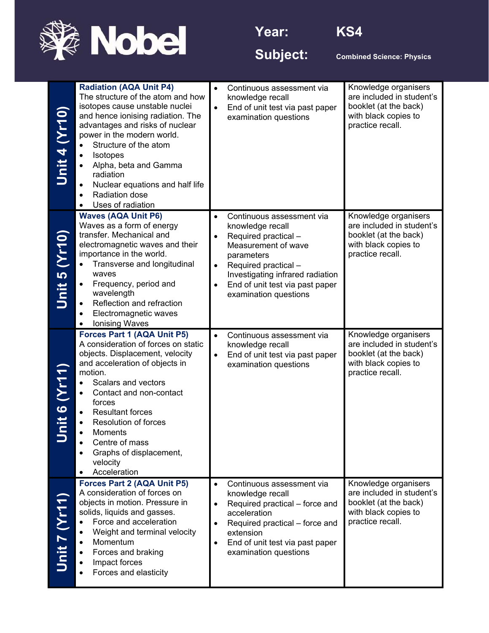



Subject: **Combined Science: Physics** 

| Unit 4 (Yr10)       | <b>Radiation (AQA Unit P4)</b><br>The structure of the atom and how<br>isotopes cause unstable nuclei<br>and hence ionising radiation. The<br>advantages and risks of nuclear<br>power in the modern world.<br>Structure of the atom<br>$\bullet$<br>Isotopes<br>$\bullet$<br>Alpha, beta and Gamma<br>radiation<br>Nuclear equations and half life<br>Radiation dose<br>Uses of radiation          | $\bullet$<br>$\bullet$                           | Continuous assessment via<br>knowledge recall<br>End of unit test via past paper<br>examination questions                                                                                                                          | Knowledge organisers<br>are included in student's<br>booklet (at the back)<br>with black copies to<br>practice recall. |
|---------------------|-----------------------------------------------------------------------------------------------------------------------------------------------------------------------------------------------------------------------------------------------------------------------------------------------------------------------------------------------------------------------------------------------------|--------------------------------------------------|------------------------------------------------------------------------------------------------------------------------------------------------------------------------------------------------------------------------------------|------------------------------------------------------------------------------------------------------------------------|
| Unit 5 (Yr10)       | <b>Waves (AQA Unit P6)</b><br>Waves as a form of energy<br>transfer. Mechanical and<br>electromagnetic waves and their<br>importance in the world.<br>Transverse and longitudinal<br>$\bullet$<br>waves<br>Frequency, period and<br>۰<br>wavelength<br>Reflection and refraction<br>$\bullet$<br>Electromagnetic waves<br>$\bullet$<br><b>Ionising Waves</b>                                        | $\bullet$<br>$\bullet$<br>$\bullet$<br>$\bullet$ | Continuous assessment via<br>knowledge recall<br>Required practical -<br>Measurement of wave<br>parameters<br>Required practical -<br>Investigating infrared radiation<br>End of unit test via past paper<br>examination questions | Knowledge organisers<br>are included in student's<br>booklet (at the back)<br>with black copies to<br>practice recall. |
| <b>Jnit 6 (Yr11</b> | Forces Part 1 (AQA Unit P5)<br>A consideration of forces on static<br>objects. Displacement, velocity<br>and acceleration of objects in<br>motion.<br>Scalars and vectors<br>$\bullet$<br>Contact and non-contact<br>$\bullet$<br>forces<br><b>Resultant forces</b><br><b>Resolution of forces</b><br>$\bullet$<br>Moments<br>Centre of mass<br>Graphs of displacement,<br>velocity<br>Acceleration | $\bullet$<br>$\bullet$                           | Continuous assessment via<br>knowledge recall<br>End of unit test via past paper<br>examination questions                                                                                                                          | Knowledge organisers<br>are included in student's<br>booklet (at the back)<br>with black copies to<br>practice recall. |
| Unit 7 (Yr11        | Forces Part 2 (AQA Unit P5)<br>A consideration of forces on<br>objects in motion. Pressure in<br>solids, liquids and gasses.<br>Force and acceleration<br>$\bullet$<br>Weight and terminal velocity<br>$\bullet$<br>Momentum<br>$\bullet$<br>Forces and braking<br>Impact forces<br>$\bullet$<br>Forces and elasticity                                                                              | $\bullet$<br>$\bullet$<br>$\bullet$<br>$\bullet$ | Continuous assessment via<br>knowledge recall<br>Required practical - force and<br>acceleration<br>Required practical – force and<br>extension<br>End of unit test via past paper<br>examination questions                         | Knowledge organisers<br>are included in student's<br>booklet (at the back)<br>with black copies to<br>practice recall. |